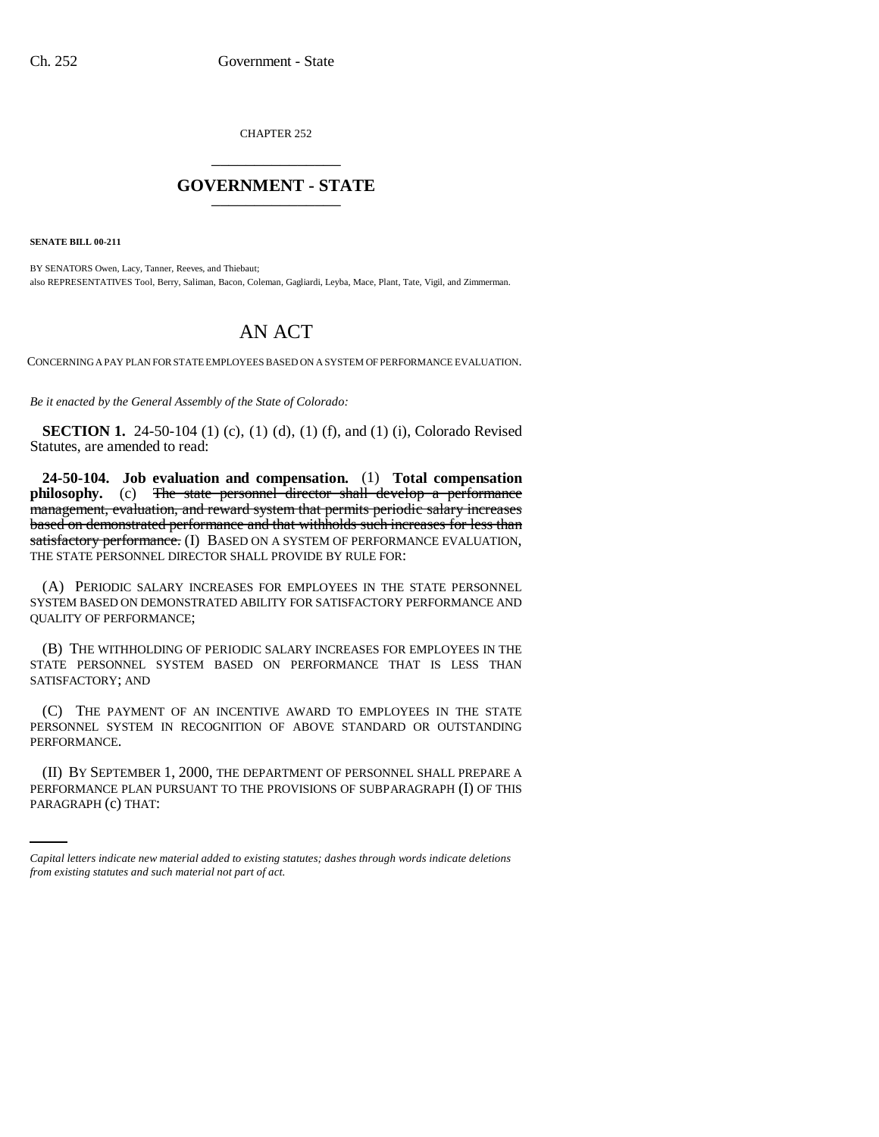CHAPTER 252 \_\_\_\_\_\_\_\_\_\_\_\_\_\_\_

## **GOVERNMENT - STATE** \_\_\_\_\_\_\_\_\_\_\_\_\_\_\_

**SENATE BILL 00-211**

BY SENATORS Owen, Lacy, Tanner, Reeves, and Thiebaut; also REPRESENTATIVES Tool, Berry, Saliman, Bacon, Coleman, Gagliardi, Leyba, Mace, Plant, Tate, Vigil, and Zimmerman.

## AN ACT

CONCERNING A PAY PLAN FOR STATE EMPLOYEES BASED ON A SYSTEM OF PERFORMANCE EVALUATION.

*Be it enacted by the General Assembly of the State of Colorado:*

**SECTION 1.** 24-50-104 (1) (c), (1) (d), (1) (f), and (1) (i), Colorado Revised Statutes, are amended to read:

**24-50-104. Job evaluation and compensation.** (1) **Total compensation** philosophy. (c) The state personnel director shall develop a performance management, evaluation, and reward system that permits periodic salary increases based on demonstrated performance and that withholds such increases for less than satisfactory performance. (I) BASED ON A SYSTEM OF PERFORMANCE EVALUATION, THE STATE PERSONNEL DIRECTOR SHALL PROVIDE BY RULE FOR:

(A) PERIODIC SALARY INCREASES FOR EMPLOYEES IN THE STATE PERSONNEL SYSTEM BASED ON DEMONSTRATED ABILITY FOR SATISFACTORY PERFORMANCE AND QUALITY OF PERFORMANCE;

(B) THE WITHHOLDING OF PERIODIC SALARY INCREASES FOR EMPLOYEES IN THE STATE PERSONNEL SYSTEM BASED ON PERFORMANCE THAT IS LESS THAN SATISFACTORY; AND

(C) THE PAYMENT OF AN INCENTIVE AWARD TO EMPLOYEES IN THE STATE PERSONNEL SYSTEM IN RECOGNITION OF ABOVE STANDARD OR OUTSTANDING PERFORMANCE.

(II) BY SEPTEMBER 1, 2000, THE DEPARTMENT OF PERSONNEL SHALL PREPARE A PERFORMANCE PLAN PURSUANT TO THE PROVISIONS OF SUBPARAGRAPH (I) OF THIS PARAGRAPH (c) THAT:

*Capital letters indicate new material added to existing statutes; dashes through words indicate deletions from existing statutes and such material not part of act.*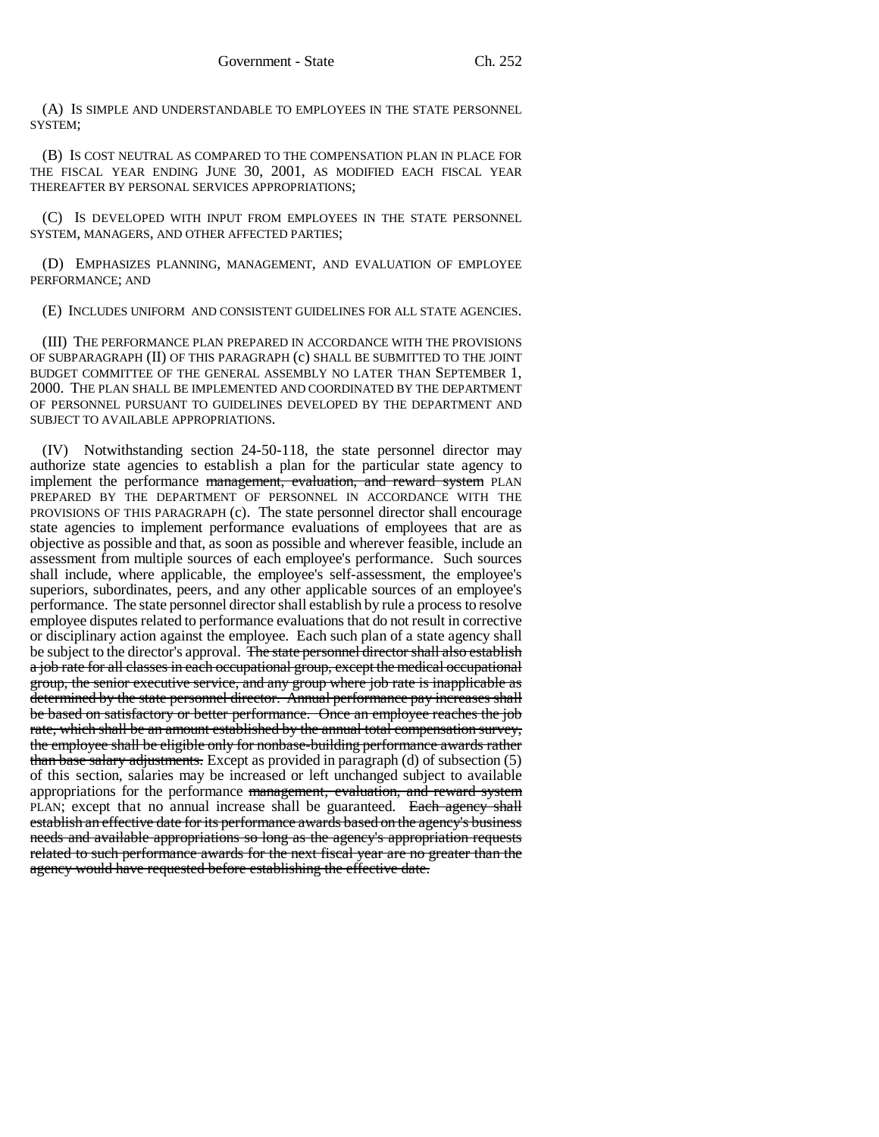(A) IS SIMPLE AND UNDERSTANDABLE TO EMPLOYEES IN THE STATE PERSONNEL SYSTEM;

(B) IS COST NEUTRAL AS COMPARED TO THE COMPENSATION PLAN IN PLACE FOR THE FISCAL YEAR ENDING JUNE 30, 2001, AS MODIFIED EACH FISCAL YEAR THEREAFTER BY PERSONAL SERVICES APPROPRIATIONS;

(C) IS DEVELOPED WITH INPUT FROM EMPLOYEES IN THE STATE PERSONNEL SYSTEM, MANAGERS, AND OTHER AFFECTED PARTIES;

(D) EMPHASIZES PLANNING, MANAGEMENT, AND EVALUATION OF EMPLOYEE PERFORMANCE; AND

(E) INCLUDES UNIFORM AND CONSISTENT GUIDELINES FOR ALL STATE AGENCIES.

(III) THE PERFORMANCE PLAN PREPARED IN ACCORDANCE WITH THE PROVISIONS OF SUBPARAGRAPH (II) OF THIS PARAGRAPH (c) SHALL BE SUBMITTED TO THE JOINT BUDGET COMMITTEE OF THE GENERAL ASSEMBLY NO LATER THAN SEPTEMBER 1, 2000. THE PLAN SHALL BE IMPLEMENTED AND COORDINATED BY THE DEPARTMENT OF PERSONNEL PURSUANT TO GUIDELINES DEVELOPED BY THE DEPARTMENT AND SUBJECT TO AVAILABLE APPROPRIATIONS.

(IV) Notwithstanding section 24-50-118, the state personnel director may authorize state agencies to establish a plan for the particular state agency to implement the performance management, evaluation, and reward system PLAN PREPARED BY THE DEPARTMENT OF PERSONNEL IN ACCORDANCE WITH THE PROVISIONS OF THIS PARAGRAPH (c). The state personnel director shall encourage state agencies to implement performance evaluations of employees that are as objective as possible and that, as soon as possible and wherever feasible, include an assessment from multiple sources of each employee's performance. Such sources shall include, where applicable, the employee's self-assessment, the employee's superiors, subordinates, peers, and any other applicable sources of an employee's performance. The state personnel director shall establish by rule a process to resolve employee disputes related to performance evaluations that do not result in corrective or disciplinary action against the employee. Each such plan of a state agency shall be subject to the director's approval. The state personnel director shall also establish a job rate for all classes in each occupational group, except the medical occupational group, the senior executive service, and any group where job rate is inapplicable as determined by the state personnel director. Annual performance pay increases shall be based on satisfactory or better performance. Once an employee reaches the job rate, which shall be an amount established by the annual total compensation survey, the employee shall be eligible only for nonbase-building performance awards rather than base salary adjustments. Except as provided in paragraph (d) of subsection (5) of this section, salaries may be increased or left unchanged subject to available appropriations for the performance management, evaluation, and reward system PLAN; except that no annual increase shall be guaranteed. Each agency shall establish an effective date for its performance awards based on the agency's business needs and available appropriations so long as the agency's appropriation requests related to such performance awards for the next fiscal year are no greater than the agency would have requested before establishing the effective date.